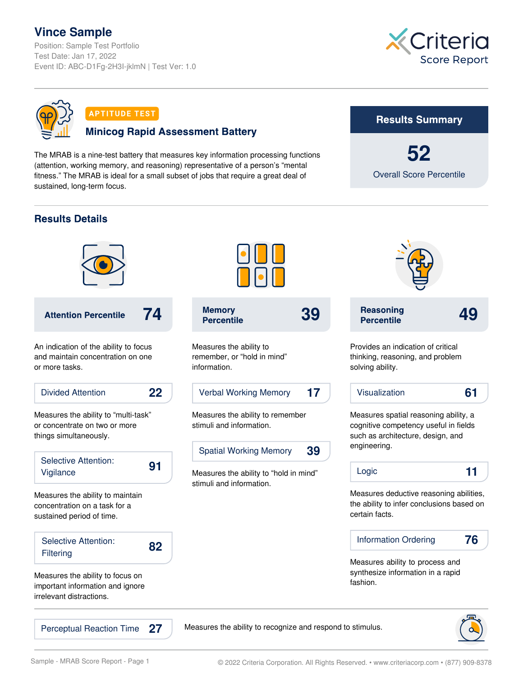# **Vince Sample**

Position: Sample Test Portfolio Test Date: Jan 17, 2022 Event ID: ABC-D1Fg-2H3I-jklmN | Test Ver: 1.0





**APTITUDE TEST** 

#### **Minicog Rapid Assessment Battery**

The MRAB is a nine-test battery that measures key information processing functions (attention, working memory, and reasoning) representative of a person's "mental fitness." The MRAB is ideal for a small subset of jobs that require a great deal of sustained, long-term focus.

### **Results Summary**

**52** Overall Score Percentile

# **Results Details**



**27**



Measures the ability to remember, or "hold in mind" information.

Verbal Working Memory **17**

Measures the ability to remember stimuli and information.

Spatial Working Memory **39**

Measures the ability to "hold in mind" stimuli and information.



Perceptual Reaction Time  $27$  Measures the ability to recognize and respond to stimulus.

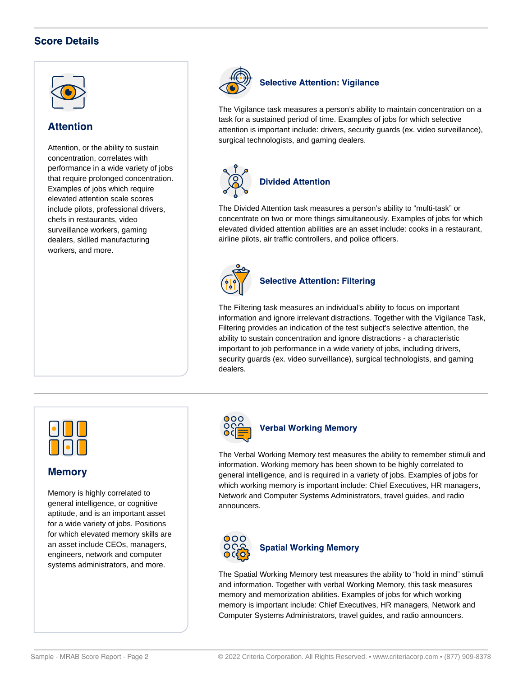# **Score Details**



#### **Attention**

Attention, or the ability to sustain concentration, correlates with performance in a wide variety of jobs that require prolonged concentration. Examples of jobs which require elevated attention scale scores include pilots, professional drivers, chefs in restaurants, video surveillance workers, gaming dealers, skilled manufacturing workers, and more.



#### **Selective Attention: Vigilance**

The Vigilance task measures a person's ability to maintain concentration on a task for a sustained period of time. Examples of jobs for which selective attention is important include: drivers, security guards (ex. video surveillance), surgical technologists, and gaming dealers.



The Divided Attention task measures a person's ability to "multi-task" or concentrate on two or more things simultaneously. Examples of jobs for which elevated divided attention abilities are an asset include: cooks in a restaurant, airline pilots, air traffic controllers, and police officers.



#### **Selective Attention: Filtering**

The Filtering task measures an individual's ability to focus on important information and ignore irrelevant distractions. Together with the Vigilance Task, Filtering provides an indication of the test subject's selective attention, the ability to sustain concentration and ignore distractions - a characteristic important to job performance in a wide variety of jobs, including drivers, security guards (ex. video surveillance), surgical technologists, and gaming dealers.



#### **Memory**

Memory is highly correlated to general intelligence, or cognitive aptitude, and is an important asset for a wide variety of jobs. Positions for which elevated memory skills are an asset include CEOs, managers, engineers, network and computer systems administrators, and more.



#### **Verbal Working Memory**

The Verbal Working Memory test measures the ability to remember stimuli and information. Working memory has been shown to be highly correlated to general intelligence, and is required in a variety of jobs. Examples of jobs for which working memory is important include: Chief Executives, HR managers, Network and Computer Systems Administrators, travel guides, and radio announcers.



The Spatial Working Memory test measures the ability to "hold in mind" stimuli and information. Together with verbal Working Memory, this task measures memory and memorization abilities. Examples of jobs for which working memory is important include: Chief Executives, HR managers, Network and Computer Systems Administrators, travel guides, and radio announcers.